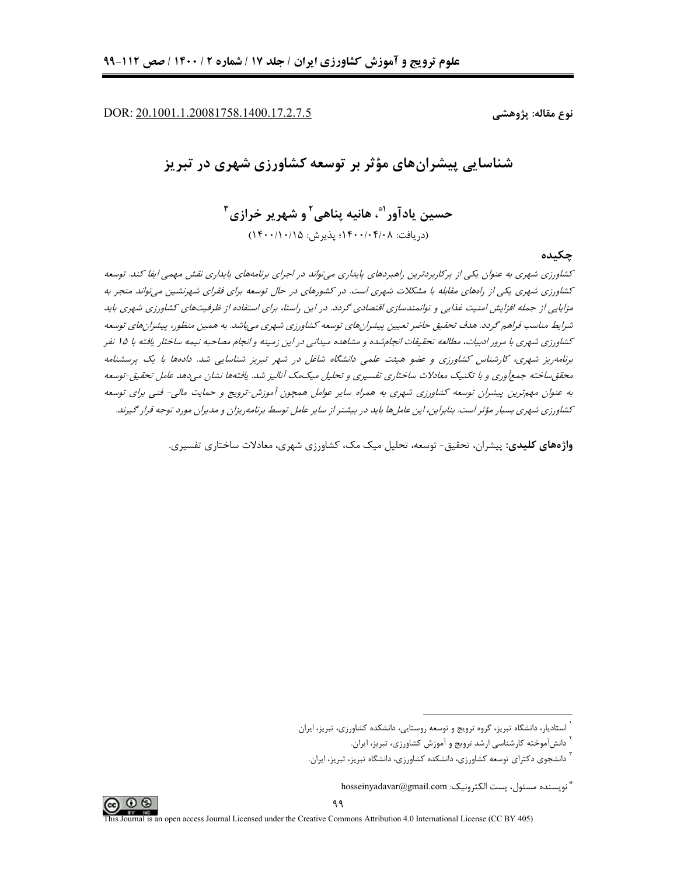DOR: 20.1001.1.20081758.1400.17.2.7.5

نوع مقاله: پژوهشے ِ

شناسایی پیشرانهای مؤثر بر توسعه کشاورزی شهری در تبریز

حسين يادآور"، هانيه يناهي<sup>٬</sup> و شهرير خرازي<sup>۳</sup> (دريافت: ١۴٠٠/٠۴/٠٨؛ يذيرش: ١۴٠٠/١٠/١٥)

چکیده

کشاورزی شهری به عنوان یکی از پرکاربردترین راهبردهای پایداری میتواند در اجرای برنامههای پایداری نقش مهمی ایفا کند. توسعه کشاورزی شهری یکی از راههای مقابله با مشکلات شهری است. در کشورهای در حال توسعه برای فقرای شهرنشین میتواند منجر به مزایایی از جمله افزایش امنیت غنایی و توانمندسازی اقتصادی گردد. در این راستا، برای استفاده از ظرفیتهای کشاورزی شهری باید شرایط مناسب فراهم گردد. هدف تحقیق حاضر تعیین پیشرانهای توسعه کشاورزی شهری میباشد. به همین منظور، پیشرانهای توسعه کشاورزی شهری با مرور ادبیات، مطالعه تحقیقات انجامشده و مشاهده میدانی در این زمینه و انجام مصاحبه نیمه ساختار یافته با ۱۵ نفر برنامه ریز شهری، کارشناس کشاورزی و عضو هیئت علمی دانشگاه شاغل در شهر تبریز شناسایی شد. دادهها با یک پرسشنامه محقق ساخته جمع وري و با تكنيك معادلات ساختاري تفسيري و تحليل ميكمك آناليز شد. يافتهها نشان مي دهد عامل تحقيق-توسعه به عنوان مهمترین پیشران توسعه کشاورزی شهری به همراه سایر عوامل همچون آموزش-ترویج و حمایت مالی- فنی برای توسعه کشاورزی شهری بسیار مؤثر است. بنابراین، این عاملها باید در بیشتر از سایر عامل توسط برنامه ریزان و مدیران مورد توجه قرار گیرند.

واژههای کلیدی: پیشران، تحقیق- توسعه، تحلیل میک مک، کشاورزی شهری، معادلات ساختاری تفسیری.



<sup>ً</sup> استادیار، دانشگاه تبریز، گروه ترویج و توسعه روستایی، دانشکده کشاورزی، تبریز، ایران.

<sup>&</sup>lt;sup>۱</sup> دانش[موخته کارشناسی ارشد ترویج و آموزش کشاورزی، تبریز، ایران.

<sup>&</sup>lt;sup>ا</sup> دانشجوی دکترای توسعه کشاورزی، دانشکده کشاورزی، دانشگاه تبریز، تبریز، ایران.

<sup>&</sup>quot; نويسنده مسئول، يست الكترونيك: hosseinyadavar@gmail.com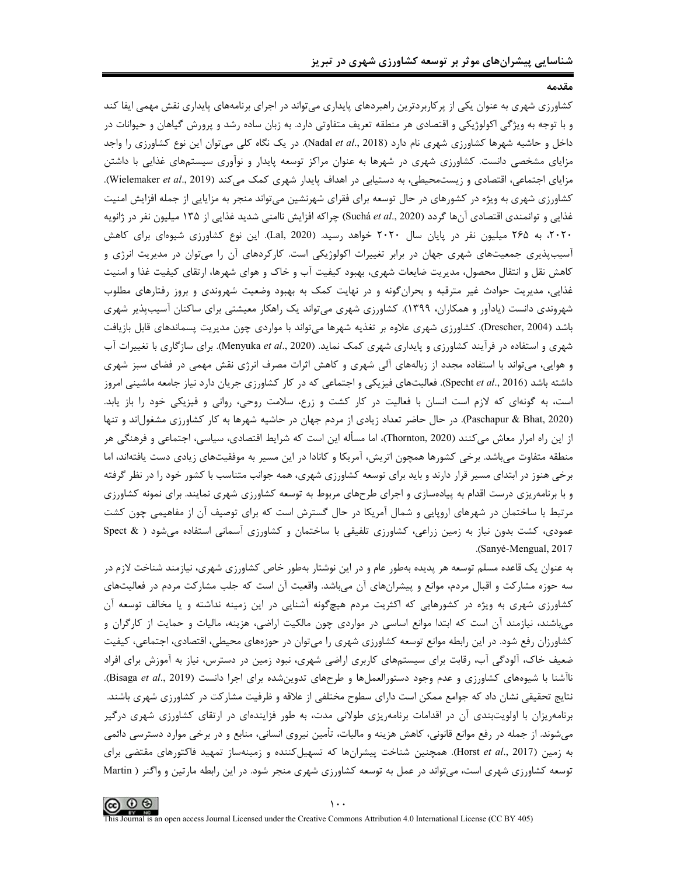کشاورزی شهری به عنوان یکی از پرکاربردترین راهبردهای پایداری میتواند در اجرای برنامههای پایداری نقش مهمی ایفا کند و با توجه به ویژگی اکولوژیکی و اقتصادی هر منطقه تعریف متفاوتی دارد. به زبان ساده رشد و پرورش گیاهان و حیوانات در داخل و حاشیه شهرها کشاورزی شهری نام دارد (Nadal et al., 2018). در یک نگاه کلی میتوان این نوع کشاورزی را واجد مزایای مشخصی دانست. کشاورزی شهری در شهرها به عنوان مراکز توسعه پایدار و نوآوری سیستمهای غذایی با داشتن مزایای اجتماعی، اقتصادی و زیستمحیطی، به دستیابی در اهداف پایدار شهری کمک میکند (Wielemaker et al., 2019). کشاورزی شهری به ویژه در کشورهای در حال توسعه برای فقرای شهرنشین میتواند منجر به مزایایی از جمله افزایش امنیت غذایی و توانمندی اقتصادی آنها گردد (Suchá et al., 2020) چراکه افزایش ناامنی شدید غذایی از ۱۳۵ میلیون نفر در ژانویه ۲۰۲۰، به ۲۶۵ میلیون نفر در پایان سال ۲۰۲۰ خواهد رسید. (Lal, 2020). این نوع کشاورزی شیوهای برای کاهش آسیبپذیری جمعیتهای شهری جهان در برابر تغییرات اکولوژیکی است. کارکردهای آن را میتوان در مدیریت انرژی و کاهش نقل و انتقال محصول، مدیریت ضایعات شهری، بهبود کیفیت آب و خاک و هوای شهرها، ارتقای کیفیت غذا و امنیت غذایی، مدیریت حوادث غیر مترقبه و بحرانگونه و در نهایت کمک به بهبود وضعیت شهروندی و بروز رفتارهای مطلوب شهروندی دانست (یادآور و همکاران، ۱۳۹۹). کشاورزی شهری میتواند یک راهکار معیشتی برای ساکنان آسیبپذیر شهری باشد (Drescher, 2004). کشاورزی شهری علاوه بر تغذیه شهرها میتواند با مواردی چون مدیریت پسماندهای قابل بازیافت شهری و استفاده در فرآیند کشاورزی و پایداری شهری کمک نماید. (Menyuka *et al.*, 2020). برای سازگاری با تغییرات آب و هوایی، میتواند با استفاده مجدد از زبالههای آلی شهری و کاهش اثرات مصرف انرژی نقش مهمی در فضای سبز شهری داشته باشد (Specht et al., 2016). فعالیتهای فیزیکی و اجتماعی که در کار کشاورزی جریان دارد نیاز جامعه ماشینی امروز است، به گونهای که لازم است انسان با فعالیت در کار کشت و زرع، سلامت روحی، روانی و فیزیکی خود را باز یابد. (Paschapur & Bhat, 2020). در حال حاضر تعداد زیادی از مردم جهان در حاشیه شهرها به کار کشاورزی مشغولاند و تنها از این راه امرار معاش میکنند (Thornton, 2020)، اما مسأله این است که شرایط اقتصادی، سیاسی، اجتماعی و فرهنگی هر منطقه متفاوت می باشد. برخی کشورها همچون اتریش، آمریکا و کانادا در این مسیر به موفقیتهای زیادی دست یافتهاند، اما برخی هنوز در ابتدای مسیر قرار دارند و باید برای توسعه کشاورزی شهری، همه جوانب متناسب با کشور خود را در نظر گرفته و با برنامهریزی درست اقدام به پیادهسازی و اجرای طرحهای مربوط به توسعه کشاورزی شهری نمایند. برای نمونه کشاورزی مرتبط با ساختمان در شهرهای اروپایی و شمال آمریکا در حال گسترش است که برای توصیف آن از مفاهیمی چون کشت عمودی، کشت بدون نیاز به زمین زراعی، کشاورزی تلفیقی با ساختمان و کشاورزی آسمانی استفاده می شود ( & Spect .(Sanyé-Mengual, 2017)

به عنوان یک قاعده مسلم توسعه هر پدیده بهطور عام و در این نوشتار بهطور خاص کشاورزی شهری، نیازمند شناخت لازم در سه حوزه مشارکت و اقبال مردم، موانع و پیشرانهای آن میباشد. واقعیت آن است که جلب مشارکت مردم در فعالیتهای کشاورزی شهری به ویژه در کشورهایی که اکثریت مردم هیچگونه آشنایی در این زمینه نداشته و یا مخالف توسعه آن میباشند، نیازمند آن است که ابتدا موانع اساسی در مواردی چون مالکیت اراضی، هزینه، مالیات و حمایت از کارگران و کشاورزان رفع شود. در این رابطه موانع توسعه کشاورزی شهری را میتوان در حوزههای محیطی، اقتصادی، اجتماعی، کیفیت ضعیف خاک، آلودگی آب، رقابت برای سیستمهای کاربری اراضی شهری، نبود زمین در دسترس، نیاز به آموزش برای افراد ناآشنا با شیوههای کشاورزی و عدم وجود دستورالعملها و طرحهای تدوینشده برای اجرا دانست (Bisaga et al., 2019). نتایج تحقیقی نشان داد که جوامع ممکن است دارای سطوح مختلفی از علاقه و ظرفیت مشارکت در کشاورزی شهری باشند. برنامهریزان با اولویتبندی آن در اقدامات برنامهریزی طولانی مدت، به طور فزایندهای در ارتقای کشاورزی شهری درگیر میشوند. از جمله در رفع موانع قانونی، کاهش هزینه و مالیات، تأمین نیروی انسانی، منابع و در برخی موارد دسترسی دائمی به زمین (Horst et al., 2017). همچنین شناخت پیشرانها که تسهیلکننده و زمینهساز تمهید فاکتورهای مقتضی برای توسعه کشاورزی شهری است، می تواند در عمل به توسعه کشاورزی شهری منجر شود. در این رابطه مارتین و واگنر ( Martin

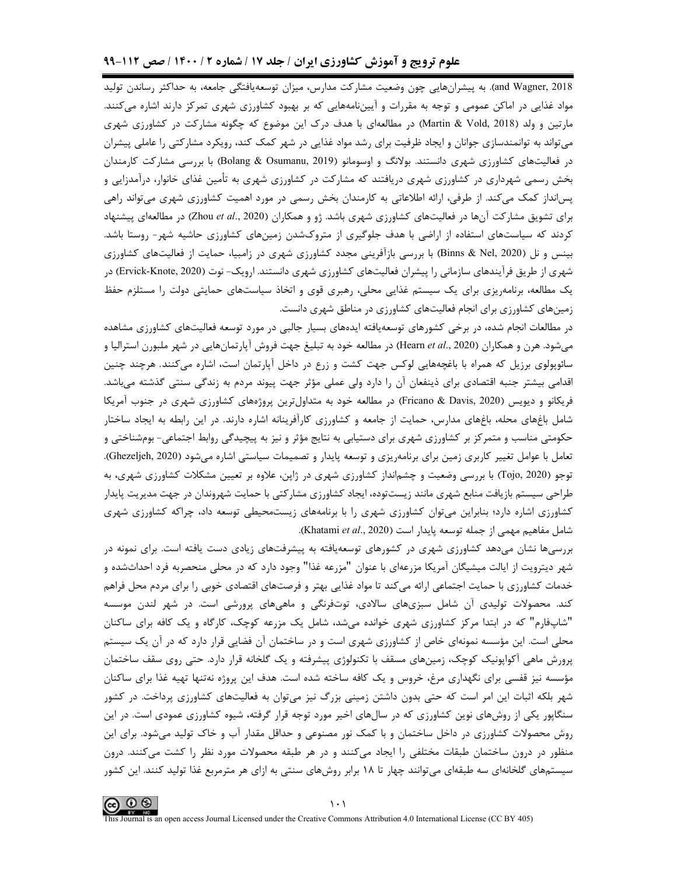and Wagner, 2018). به پیشرانهایی چون وضعیت مشارکت مدارس، میزان توسعهیافتگی جامعه، به حداکثر رساندن تولید مواد غذایی در اماکن عمومی و توجه به مقررات و آییننامههایی که بر بهبود کشاورزی شهری تمرکز دارند اشاره میکنند. مارتین و ولد (Martin & Vold, 2018) در مطالعهای با هدف درک این موضوع که چگونه مشارکت در کشاورزی شهری میتواند به توانمندسازی جوانان و ایجاد ظرفیت برای رشد مواد غذایی در شهر کمک کند، رویکرد مشارکتی را عاملی پیشران در فعالیتهای کشاورزی شهری دانستند. بولانگ و اوسومانو (Bolang & Osumanu, 2019) با بررسی مشارکت کارمندان بخش رسمی شهرداری در کشاورزی شهری دریافتند که مشارکت در کشاورزی شهری به تأمین غذای خانوار، درآمدزایی و پسانداز کمک میکند. از طرفی، ارائه اطلاعاتی به کارمندان بخش رسمی در مورد اهمیت کشاورزی شهری میتواند راهی برای تشویق مشارکت آنها در فعالیتهای کشاورزی شهری باشد. ژو و همکاران (Zhou et al., 2020) در مطالعهای پیشنهاد کردند که سیاستهای استفاده از اراضی با هدف جلوگیری از متروکشدن زمینهای کشاورزی حاشیه شهر- روستا باشد. بینس و نل (Binns & Nel, 2020) با بررسی بازآفرینی مجدد کشاورزی شهری در زامبیا، حمایت از فعالیتهای کشاورزی شهری از طریق فرآیندهای سازمانی را پیشران فعالیتهای کشاورزی شهری دانستند. ارویک- نوت (Ervick-Knote, 2020) در یک مطالعه، برنامهریزی برای یک سیستم غذایی محلی، رهبری قوی و اتخاذ سیاستهای حمایتی دولت را مستلزم حفظ زمینهای کشاورزی برای انجام فعالیتهای کشاورزی در مناطق شهری دانست.

در مطالعات انجام شده، در برخی کشورهای توسعهیافته ایدههای بسیار جالبی در مورد توسعه فعالیتهای کشاورزی مشاهده میشود. هرن و همکاران (Hearn et al., 2020) در مطالعه خود به تبلیغ جهت فروش آپارتمانهایی در شهر ملبورن استرالیا و سائوپولوی برزیل که همراه با باغچههایی لوکس جهت کشت و زرع در داخل آپارتمان است، اشاره میکنند. هرچند چنین اقدامی بیشتر جنبه اقتصادی برای ذینفعان آن را دارد ولی عملی مؤثر جهت پیوند مردم به زندگی سنتی گذشته میباشد. فریکانو و دیویس (Fricano & Davis, 2020) در مطالعه خود به متداولترین پروژههای کشاورزی شهری در جنوب آمریکا شامل باغهای محله، باغهای مدارس، حمایت از جامعه و کشاورزی کارآفرینانه اشاره دارند. در این رابطه به ایجاد ساختار حکومتی مناسب و متمرکز بر کشاورزی شهری برای دستیابی به نتایج مؤثر و نیز به پیچیدگی روابط اجتماعی- بومشناختی و تعامل با عوامل تغییر کاربری زمین برای برنامهریزی و توسعه پایدار و تصمیمات سیاستی اشاره می شود (Ghezeljeh, 2020). توجو (Tojo, 2020) با بررسی وضعیت و چشم|نداز کشاورزی شهری در ژاپن، علاوه بر تعیین مشکلات کشاورزی شهری، به طراحی سیستم بازیافت منابع شهری مانند زیستتوده، ایجاد کشاورزی مشارکتی با حمایت شهروندان در جهت مدیریت پایدار کشاورزی اشاره دارد؛ بنابراین می توان کشاورزی شهری را با برنامههای زیستمحیطی توسعه داد، چراکه کشاورزی شهری شامل مفاهيم مهمي از جمله توسعه پايدار است (Khatami et al., 2020).

بررسیها نشان میدهد کشاورزی شهری در کشورهای توسعهیافته به پیشرفتهای زیادی دست یافته است. برای نمونه در شهر دیترویت از ایالت میشیگان آمریکا مزرعهای با عنوان "مزرعه غذا" وجود دارد که در محلی منحصربه فرد احداثشده و خدمات کشاورزی با حمایت اجتماعی ارائه میکند تا مواد غذایی بهتر و فرصتهای اقتصادی خوبی را برای مردم محل فراهم کند. محصولات تولیدی آن شامل سبزیهای سالادی، توتفرنگی و ماهیهای پرورشی است. در شهر لندن موسسه "شاپفارم" که در ابتدا مرکز کشاورزی شهری خوانده میشد، شامل یک مزرعه کوچک، کارگاه و یک کافه برای ساکنان محلی است. این مؤسسه نمونهای خاص از کشاورزی شهری است و در ساختمان آن فضایی قرار دارد که در آن یک سیستم پرورش ماهی آکواپونیک کوچک، زمینهای مسقف با تکنولوژی پیشرفته و یک گلخانه قرار دارد. حتی روی سقف ساختمان مؤسسه نیز قفسی برای نگهداری مرغ، خروس و یک کافه ساخته شده است. هدف این پروژه نهتنها تهیه غذا برای ساکنان شهر بلکه اثبات این امر است که حتی بدون داشتن زمینی بزرگ نیز می¤وان به فعالیتهای کشاورزی پرداخت. در کشور سنگاپور یکی از روشهای نوین کشاورزی که در سالهای اخیر مورد توجه قرار گرفته، شیوه کشاورزی عمودی است. در این روش محصولات کشاورزی در داخل ساختمان و با کمک نور مصنوعی و حداقل مقدار آب و خاک تولید میشود. برای این منظور در درون ساختمان طبقات مختلفی را ایجاد میکنند و در هر طبقه محصولات مورد نظر را کشت میکنند. درون سیستمهای گلخانهای سه طبقهای میتوانند چهار تا ۱۸ برابر روشهای سنتی به ازای هر مترمربع غذا تولید کنند. این کشور

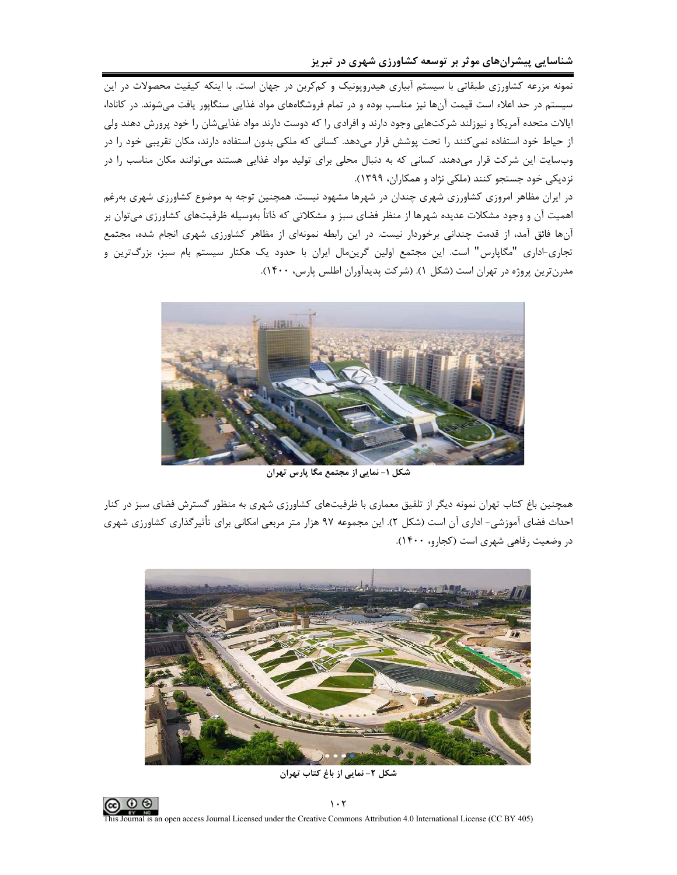نمونه مزرعه کشاورزی طبقاتی با سیستم آبیاری هیدروپونیک و کمکربن در جهان است. با اینکه کیفیت محصولات در این سیستم در حد اعلاء است قیمت آنها نیز مناسب بوده و در تمام فروشگاههای مواد غذایی سنگاپور یافت میشوند. در کانادا، ایالات متحده آمریکا و نیوزلند شرکتهایی وجود دارند و افرادی را که دوست دارند مواد غذاییشان را خود پرورش دهند ولی از حیاط خود استفاده نمیکنند را تحت پوشش قرار میدهد. کسانی که ملکی بدون استفاده دارند، مکان تقریبی خود را در وبسایت این شرکت قرار میدهند. کسانی که به دنبال محلی برای تولید مواد غذایی هستند میتوانند مکان مناسب را در نزدیکی خود جستجو کنند (ملکی نژاد و همکاران، ۱۳۹۹).

در ایران مظاهر امروزی کشاورزی شهری چندان در شهرها مشهود نیست. همچنین توجه به موضوع کشاورزی شهری بهرغم اهمیت آن و وجود مشکلات عدیده شهرها از منظر فضای سبز و مشکلاتی که ذاتاً بهوسیله ظرفیتهای کشاورزی میتوان بر آنها فائق آمد، از قدمت چندانی برخوردار نیست. در این رابطه نمونهای از مظاهر کشاورزی شهری انجام شده، مجتمع تجاری-اداری "مگاپارس" است. این مجتمع اولین گرینمال ایران با حدود یک هکتار سیستم بام سبز، بزرگترین و مدرنترین پروژه در تهران است (شکل ۱). (شرکت پدیدآوران اطلس پارس، ۱۴۰۰).



شکل ۱– نمایی از مجتمع مگا پارس تهران

همچنین باغ کتاب تهران نمونه دیگر از تلفیق معماری با ظرفیتهای کشاورزی شهری به منظور گسترش فضای سبز در کنار احداث فضای آموزشی- اداری آن است (شکل ۲). این مجموعه ۹۷ هزار متر مربعی امکانی برای تأثیرگذاری کشاورزی شهری در وضعیت رفاهی شهری است (کجارو، ۱۴۰۰).



شکل ۲- نمایی از باغ کتاب تهران

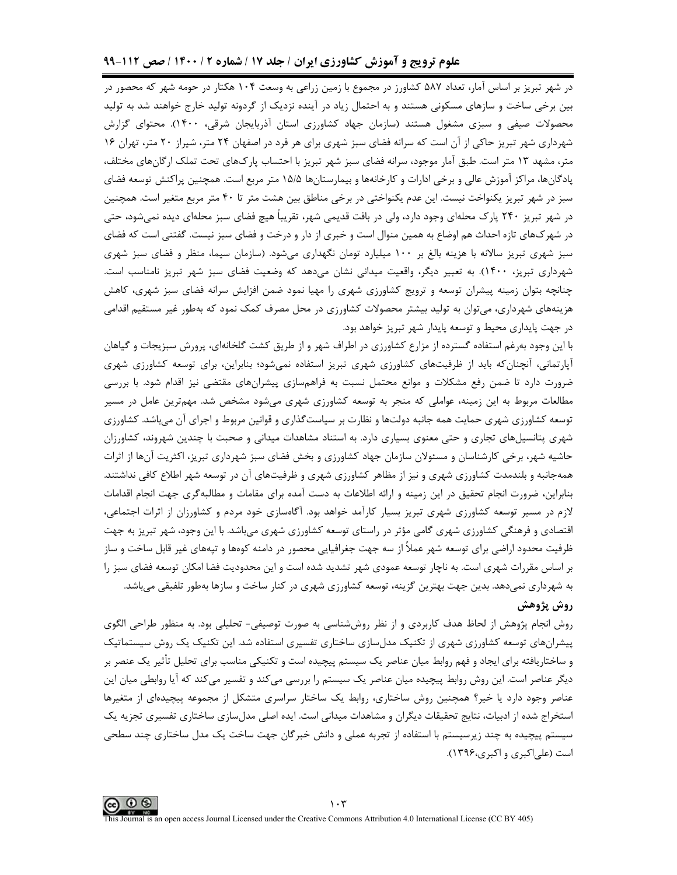در شهر تبریز بر اساس آمار، تعداد ۵۸۷ کشاورز در مجموع با زمین زراعی به وسعت ۱۰۴ هکتار در حومه شهر که محصور در بین برخی ساخت و سازهای مسکونی هستند و به احتمال زیاد در آینده نزدیک از گردونه تولید خارج خواهند شد به تولید محصولات صیفی و سبزی مشغول هستند (سازمان جهاد کشاورزی استان آذربایجان شرقی، ۱۴۰۰). محتوای گزارش شهرداری شهر تبریز حاکی از آن است که سرانه فضای سبز شهری برای هر فرد در اصفهان ۲۴ متر، شیراز ۲۰ متر، تهران ۱۶ متر، مشهد ۱۳ متر است. طبق آمار موجود، سرانه فضای سبز شهر تبریز با احتساب پارک&ای تحت تملک ارگانهای مختلف، پادگانها، مراکز آموزش عالی و برخی ادارات و کارخانهها و بیمارستانها ۱۵/۵ متر مربع است. همچنین پراکنش توسعه فضای سبز در شهر تبریز یکنواخت نیست. این عدم یکنواختی در برخی مناطق بین هشت متر تا ۴۰ متر مربع متغیر است. همچنین در شهر تبریز ۲۴۰ پارک محلهای وجود دارد، ولی در بافت قدیمی شهر، تقریباً هیچ فضای سبز محلهای دیده نمیشود، حتی در شهرکهای تازه احداث هم اوضاع به همین منوال است و خبری از دار و درخت و فضای سبز نیست. گفتنی است که فضای سبز شهری تبریز سالانه با هزینه بالغ بر ۱۰۰ میلیارد تومان نگهداری میشود. (سازمان سیما، منظر و فضای سبز شهری شهرداری تبریز، ۱۴۰۰). به تعبیر دیگر، واقعیت میدانی نشان میدهد که وضعیت فضای سبز شهر تبریز نامناسب است. چنانچه بتوان زمینه پیشران توسعه و ترویج کشاورزی شهری را مهیا نمود ضمن افزایش سرانه فضای سبز شهری، کاهش هزینههای شهرداری، میتوان به تولید بیشتر محصولات کشاورزی در محل مصرف کمک نمود که بهطور غیر مستقیم اقدامی در جهت پایداری محیط و توسعه پایدار شهر تبریز خواهد بود.

با این وجود بهرغم استفاده گسترده از مزارع کشاورزی در اطراف شهر و از طریق کشت گلخانهای، پرورش سبزیجات و گیاهان آپارتمانی، آنچنان که باید از ظرفیتهای کشاورزی شهری تبریز استفاده نمیشود؛ بنابراین، برای توسعه کشاورزی شهری ضرورت دارد تا ضمن رفع مشکلات و موانع محتمل نسبت به فراهمسازی پیشرانهای مقتضی نیز اقدام شود. با بررسی مطالعات مربوط به این زمینه، عواملی که منجر به توسعه کشاورزی شهری میشود مشخص شد. مهمترین عامل در مسیر توسعه کشاورزی شهری حمایت همه جانبه دولتها و نظارت بر سیاستگذاری و قوانین مربوط و اجرای آن می باشد. کشاورزی شهری پتانسیلهای تجاری و حتی معنوی بسیاری دارد. به استناد مشاهدات میدانی و صحبت با چندین شهروند، کشاورزان حاشیه شهر، برخی کارشناسان و مسئولان سازمان جهاد کشاورزی و بخش فضای سبز شهرداری تبریز، اکثریت آنها از اثرات همهجانبه و بلندمدت کشاورزی شهری و نیز از مظاهر کشاورزی شهری و ظرفیتهای آن در توسعه شهر اطلاع کافی نداشتند. بنابراین، ضرورت انجام تحقیق در این زمینه و ارائه اطلاعات به دست آمده برای مقامات و مطالبه $\mathfrak{d}_\mathfrak{d}$ ی جهت انجام اقدامات لازم در مسیر توسعه کشاورزی شهری تبریز بسیار کارآمد خواهد بود. آگاهسازی خود مردم و کشاورزان از اثرات اجتماعی، اقتصادی و فرهنگی کشاورزی شهری گامی مؤثر در راستای توسعه کشاورزی شهری میباشد. با این وجود، شهر تبریز به جهت ظرفیت محدود اراضی برای توسعه شهر عملاً از سه جهت جغرافیایی محصور در دامنه کوهها و تپههای غیر قابل ساخت و ساز بر اساس مقررات شهری است. به ناچار توسعه عمودی شهر تشدید شده است و این محدودیت فضا امکان توسعه فضای سبز را به شهرداری نمیدهد. بدین جهت بهترین گزینه، توسعه کشاورزی شهری در کنار ساخت و سازها بهطور تلفیقی میباشد. روش پژوهش

روش انجام پژوهش از لحاظ هدف کاربردی و از نظر روششناسی به صورت توصیفی- تحلیلی بود. به منظور طراحی الگوی پیشرانهای توسعه کشاورزی شهری از تکنیک مدلسازی ساختاری تفسیری استفاده شد. این تکنیک یک روش سیستماتیک و ساختاریافته برای ایجاد و فهم روابط میان عناصر یک سیستم پیچیده است و تکنیکی مناسب برای تحلیل تأثیر یک عنصر بر دیگر عناصر است. این روش روابط پیچیده میان عناصر یک سیستم را بررسی میکند و تفسیر میکند که آیا روابطی میان این عناصر وجود دارد یا خیر؟ همچنین روش ساختاری، روابط یک ساختار سراسری متشکل از مجموعه پیچیدهای از متغیرها استخراج شده از ادبیات، نتایج تحقیقات دیگران و مشاهدات میدانی است. ایده اصلی مدلسازی ساختاری تفسیری تجزیه یک سیستم پیچیده به چند زیرسیستم با استفاده از تجربه عملی و دانش خبرگان جهت ساخت یک مدل ساختاری چند سطحی است (علياكبري و اكبري،١٣٩۶).

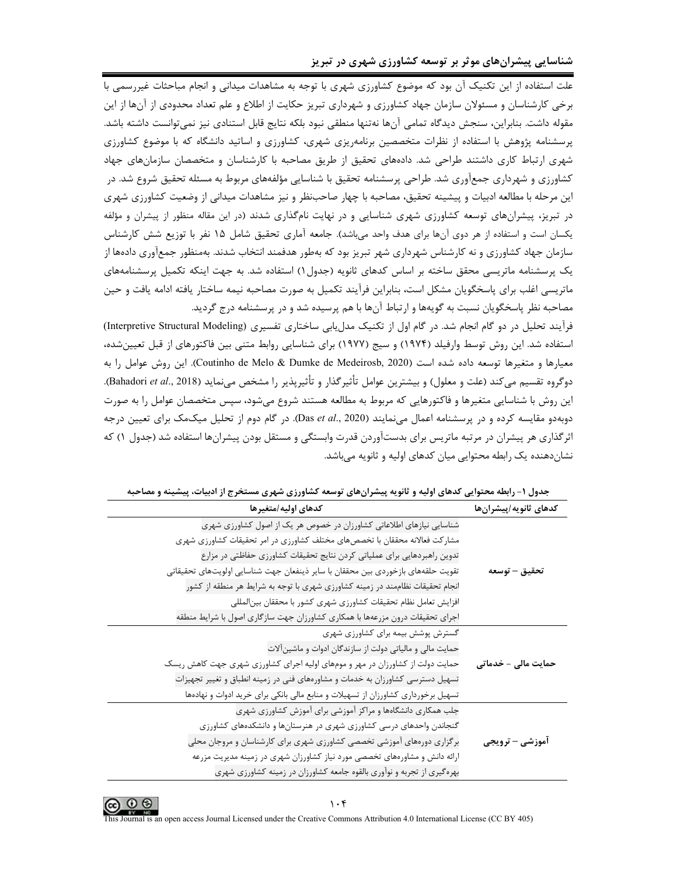۔<br>علت استفادہ از این تکنیک آن بود که موضوع کشاورزی شهری با توجه به مشاهدات میدانی و انجام مباحثات غیررسمی با برخی کارشناسان و مسئولان سازمان جهاد کشاورزی و شهرداری تبریز حکایت از اطلاع و علم تعداد محدودی از آنها از این مقوله داشت. بنابراين، سنجش ديدگاه تمامي آنها نهتنها منطقي نبود بلكه نتايج قابل استنادي نيز نمي توانست داشته باشد. پرسشنامه پژوهش با استفاده از نظرات متخصصین برنامهریزی شهری، کشاورزی و اساتید دانشگاه که با موضوع کشاورزی شهری ارتباط کاری داشتند طراحی شد. دادههای تحقیق از طریق مصاحبه با کارشناسان و متخصصان سازمانهای جهاد کشاورزی و شهرداری جمعآوری شد. طراحی پرسشنامه تحقیق با شناسایی مؤلفههای مربوط به مسئله تحقیق شروع شد. در این مرحله با مطالعه ادبیات و پیشینه تحقیق، مصاحبه با چهار صاحبنظر و نیز مشاهدات میدانی از وضعیت کشاورزی شهری در تبریز، پیشرانهای توسعه کشاورزی شهری شناسایی و در نهایت نامگذاری شدند (در این مقاله منظور از پیشران و مؤلفه یکسان است و استفاده از هر دوی آنها برای هدف واحد می باشد). جامعه آماری تحقیق شامل ۱۵ نفر با توزیع شش کارشناس سازمان جهاد کشاورزی و نه کارشناس شهرداری شهر تبریز بود که بهطور هدفمند انتخاب شدند. بهمنظور جمعآوری دادهها از یک پرسشنامه ماتریسی محقق ساخته بر اساس کدهای ثانویه (جدول۱) استفاده شد. به جهت اینکه تکمیل پرسشنامههای ماتريسي اغلب براي پاسخگويان مشكل است، بنابراين فرآيند تكميل به صورت مصاحبه نيمه ساختار يافته ادامه يافت و حين مصاحبه نظر پاسخگویان نسبت به گویهها و ارتباط آنها با هم پرسیده شد و در پرسشنامه درج گردید.

فرآیند تحلیل در دو گام انجام شد. در گام اول از تکنیک مدلیابی ساختاری تفسیری (Interpretive Structural Modeling) استفاده شد. این روش توسط وارفیلد (۱۹۷۴) و سیج (۱۹۷۷) برای شناسایی روابط متنی بین فاکتورهای از قبل تعیینشده، معيارها و متغيرها توسعه داده شده است (Coutinho de Melo & Dumke de Medeirosb, 2020). اين روش عوامل را به دوگروه تقسیم می کند (علت و معلول) و بیشترین عوامل تأثیر گذار و تأثیرپذیر را مشخص میiماید (Bahadori *et al.*, 2018). این روش با شناسایی متغیرها و فاکتورهایی که مربوط به مطالعه هستند شروع میشود، سپس متخصصان عوامل را به صورت دوبهدو مقایسه کرده و در پرسشنامه اعمال می نمایند (Das et al., 2020). در گام دوم از تحلیل میکمک برای تعیین درجه اثرگذاری هر پیشران در مرتبه ماتریس برای بدستآوردن قدرت وابستگی و مستقل بودن پیشرانها استفاده شد (جدول ۱) که نشان دهنده یک رابطه محتوایی میان کدهای اولیه و ثانویه مے باشد.

| كدهاي اوليه /متغير ها                                                            | كدهاى ثانويه /پيشرانها |
|----------------------------------------------------------------------------------|------------------------|
| شناسایی نیازهای اطلاعاتی کشاورزان در خصوص هر یک از اصول کشاورزی شهری             |                        |
| مشارکت فعالانه محققان با تخصصهای مختلف کشاورزی در امر تحقیقات کشاورزی شهری       |                        |
| تدوین راهبردهایی برای عملیاتی کردن نتایج تحقیقات کشاورزی حفاظتی در مزارع         |                        |
| تقويت حلقههاى بازخوردى بين محققان با ساير ذينفعان جهت شناسايي اولويتهاى تحقيقاتي | تحقيق – توسعه          |
| انجام تحقیقات نظاممند در زمینه کشاورزی شهری با توجه به شرایط هر منطقه از کشور    |                        |
| افزايش تعامل نظام تحقيقات كشاورزي شهرى كشور با محققان بينالمللي                  |                        |
| اجرای تحقیقات درون مزرعهها با همکاری کشاورزان جهت سازگاری اصول با شرایط منطقه    |                        |
| گسترش پوشش بیمه برای کشاورزی شهری                                                |                        |
| حمایت مالی و مالیاتی دولت از سازندگان ادوات و ماشینآلات                          |                        |
| حمایت دولت از کشاورزان در مهر و مومهای اولیه اجرای کشاورزی شهری جهت کاهش ریسک    | حمایت مالی – خدماتی    |
| تسهیل دسترسی کشاورزان به خدمات و مشاورههای فنی در زمینه انطباق و تغییر تجهیزات   |                        |
| تسهیل برخورداری کشاورزان از تسهیلات و منابع مالی بانکی برای خرید ادوات و نهادهها |                        |
| جلب همکاری دانشگاهها و مراکز آموزشی برای آموزش کشاورزی شهری                      |                        |
| گنجاندن واحدهای درسی کشاورزی شهری در هنرستانها و دانشکدههای کشاورزی              |                        |
| برگزاری دورههای آموزشی تخصصی کشاورزی شهری برای کارشناسان و مروجان محلی           | <b>آموزشی - ترویجی</b> |
| ارائه دانش و مشاورههای تخصصی مورد نیاز کشاورزان شهری در زمینه مدیریت مزرعه       |                        |
| بهرهگیری از تجربه و نوآوری بالقوه جامعه کشاورزان در زمینه کشاورزی شهری           |                        |

جدول ۱- رابطه محتوایی کدهای اولیه و ثانویه پیشرانهای توسعه کشاورزی شهری مستخرج از ادبیات، پیشینه و مصاحبه

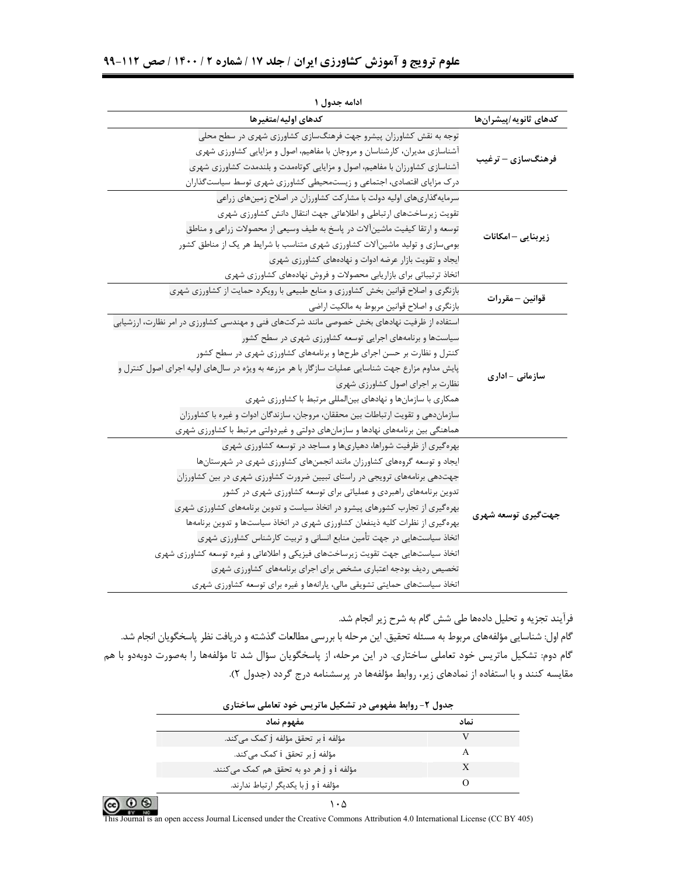| ادامه جدول ۱                                                                                                         |  |
|----------------------------------------------------------------------------------------------------------------------|--|
| كدهاى اوليه امتغيرها<br>كدهاى ثانويه/پيشرانها                                                                        |  |
| توجه به نقش کشاورزان پیشرو جهت فرهنگسازی کشاورزی شهری در سطح محلی                                                    |  |
| آشناسازی مدیران، کارشناسان و مروجان با مفاهیم، اصول و مزایایی کشاورزی شهری<br>فرهنگسازی — ترغیب                      |  |
| آشناسازی کشاورزان با مفاهیم، اصول و مزایایی کوتاهمدت و بلندمدت کشاورزی شهری                                          |  |
| درک مزایای اقتصادی، اجتماعی و زیستمحیطی کشاورزی شهری توسط سیاستگذاران                                                |  |
| سرمایهگذاریهای اولیه دولت با مشارکت کشاورزان در اصلاح زمینهای زراعی                                                  |  |
| تقویت زیرساختهای ارتباطی و اطلاعاتی جهت انتقال دانش کشاورزی شهری                                                     |  |
| توسعه و ارتقا کیفیت ماشینآلات در پاسخ به طیف وسیعی از محصولات زراعی و مناطق<br>زیربنایی – امکانات                    |  |
| بومیسازی و تولید ماشینآلات کشاورزی شهری متناسب با شرایط هر یک از مناطق کشور                                          |  |
| ایجاد و تقویت بازار عرضه ادوات و نهادههای کشاورزی شهری                                                               |  |
| اتخاذ ترتیباتی برای بازاریابی محصولات و فروش نهادههای کشاورزی شهری                                                   |  |
| بازنگری و اصلاح قوانین بخش کشاورزی و منابع طبیعی با رویکرد حمایت از کشاورزی شهری<br>قوانين – مقررات                  |  |
| بازنگری و اصلاح قوانین مربوط به مالکیت اراضی                                                                         |  |
| استفاده از ظرفیت نهادهای بخش خصوصی مانند شرکتهای فنی و مهندسی کشاورزی در امر نظارت، ارزشیابی                         |  |
| سیاستها و برنامههای اجرایی توسعه کشاورزی شهری در سطح کشور                                                            |  |
| کنترل و نظارت بر حسن اجرای طرحها و برنامههای کشاورزی شهری در سطح کشور                                                |  |
| پایش مداوم مزارع جهت شناسایی عملیات سازگار با هر مزرعه به ویژه در سالهای اولیه اجرای اصول کنترل و<br>سازمانی - اداری |  |
| نظارت بر اجرای اصول کشاورزی شهری                                                                                     |  |
| همکاری با سازمانها و نهادهای بینالمللی مرتبط با کشاورزی شهری                                                         |  |
| سازماندهی و تقویت ارتباطات بین محققان، مروجان، سازندگان ادوات و غیره با کشاورزان                                     |  |
| هماهنگی بین برنامههای نهادها و سازمانهای دولتی و غیردولتی مرتبط با کشاورزی شهری                                      |  |
| بهرهگیری از ظرفیت شوراها، دهیاریها و مساجد در توسعه کشاورزی شهری                                                     |  |
| ایجاد و توسعه گروههای کشاورزان مانند انجمنهای کشاورزی شهری در شهرستانها                                              |  |
| جهتدهی برنامههای ترویجی در راستای تبیین ضرورت کشاورزی شهری در بین کشاورزان                                           |  |
| تدوین برنامههای راهبردی و عملیاتی برای توسعه کشاورزی شهری در کشور                                                    |  |
| بهرهگیری از تجارب کشورهای پیشرو در اتخاذ سیاست و تدوین برنامههای کشاورزی شهری                                        |  |
| جهتگیری توسعه شهری<br>بهرهگیری از نظرات کلیه ذینفعان کشاورزی شهری در اتخاذ سیاستها و تدوین برنامهها                  |  |
| اتخاذ سیاستهایی در جهت تأمین منابع انسانی و تربیت کارشناس کشاورزی شهری                                               |  |
| اتخاذ سیاستهایی جهت تقویت زیرساختهای فیزیکی و اطلاعاتی و غیره توسعه کشاورزی شهری                                     |  |
| تخصیص ردیف بودجه اعتباری مشخص برای اجرای برنامههای کشاورزی شهری                                                      |  |
| اتخاذ سیاستهای حمایتی تشویقی مالی، پارانهها و غیره برای توسعه کشاورزی شهری                                           |  |

فرآیند تجزیه و تحلیل دادهها طی شش گام به شرح زیر انجام شد.

گام اول: شناسایی مؤلفههای مربوط به مسئله تحقیق. این مرحله با بررسی مطالعات گذشته و دریافت نظر پاسخگویان انجام شد. گام دوم: تشکیل ماتریس خود تعاملی ساختاری. در این مرحله، از پاسخگویان سؤال شد تا مؤلفهها را بهصورت دوبهدو با هم مقایسه کنند و با استفاده از نمادهای زیر، روابط مؤلفهها در پرسشنامه درج گردد (جدول ۲).

| جدول ۲- روابط مفهومی در تشکیل ماتریس خود تعاملی ساختاری |      |
|---------------------------------------------------------|------|
| مفهوم نماد                                              | نماد |
| مؤلفه i بر تحقق مؤلفه j كمك مى كند.                     |      |
| مؤلفه j بر تحقق i کمک می <i>ک</i> ند.                   |      |
| مؤلفه i و j هر دو به تحقق هم کمک میکنند.                |      |
| مؤلفه i و j با يكديگر ارتباط ندارند.                    |      |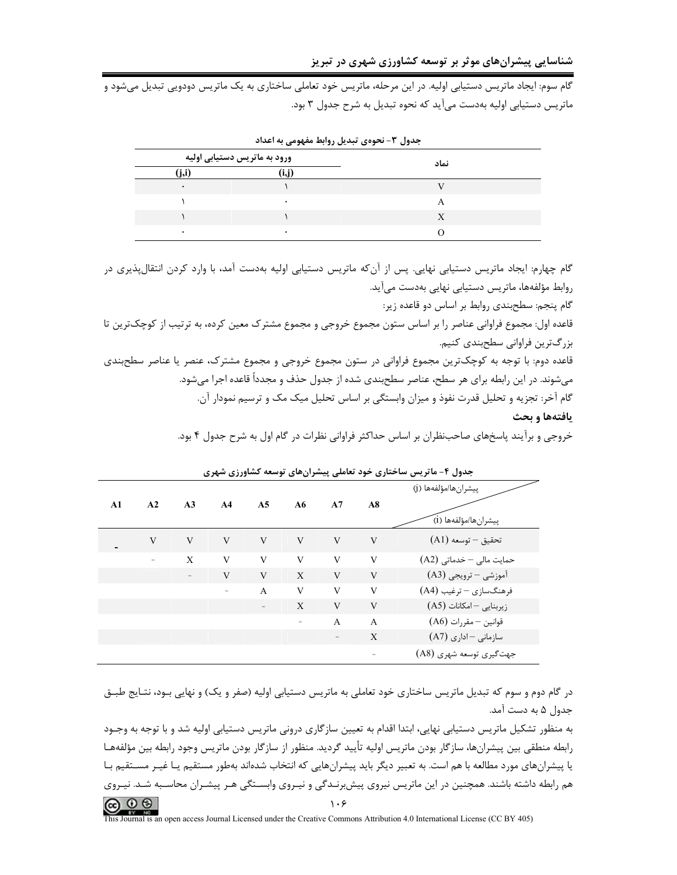گام سوم: ایجاد ماتریس دستیابی اولیه. در این مرحله، ماتریس خود تعاملی ساختاری به یک ماتریس دودویی تبدیل میشود و ماتریس دستیابی اولیه بهدست می آید که نحوه تبدیل به شرح جدول ۳ بود.

|           | ورود به ماتریس دستیابی اولیه | نماد |  |  |
|-----------|------------------------------|------|--|--|
| (j,i)     | 'i.i)                        |      |  |  |
| $\bullet$ |                              |      |  |  |
|           |                              | Α    |  |  |
|           |                              |      |  |  |
|           |                              |      |  |  |

جدول ۳- نجوهي تبديل روابط مفهومي به اعداد

گام چهارم: ایجاد ماتریس دستیابی نهایی. پس از آنکه ماتریس دستیابی اولیه بهدست آمد، با وارد کردن انتقالپذیری در روابط مؤلفهها، ماتریس دستیابی نهایی بهدست می آید.

گام پنجم: سطحېندي روابط بر اساس دو قاعده زير:

قاعده اول: مجموع فراواني عناصر را بر اساس ستون مجموع خروجي و مجموع مشترک معين کرده، به ترتيب از کوچکترين تا بزرگترین فراوانی سطحبندی کنیم.

قاعده دوم: با توجه به کوچکترین مجموع فراوانی در ستون مجموع خروجی و مجموع مشترک، عنصر یا عناصر سطحبندی میشوند. در این رابطه برای هر سطح، عناصر سطحبندی شده از جدول حذف و مجدداً قاعده اجرا می شود. گام آخر: تجزیه و تحلیل قدرت نفوذ و میزان وابستگی بر اساس تحلیل میک مک و ترسیم نمودار آن. يافتهها و بحث

خروجی و برآیند پاسخهای صاحبنظران بر اساس حداکثر فراوانی نظرات در گام اول به شرح جدول ۴ بود.

|                          |          |    |                |                          |                          |                |                | ييشران ها/مؤلفهها (j)    |
|--------------------------|----------|----|----------------|--------------------------|--------------------------|----------------|----------------|--------------------------|
| A1                       | A2       | A3 | A <sub>4</sub> | A <sub>5</sub>           | A6                       | A7             | A8             |                          |
|                          |          |    |                |                          |                          |                |                | ْپِيشرانِها/مؤلفەها (i)  |
| $\overline{\phantom{0}}$ | V        | V  | V              | $\mathbf{V}$             | V                        | V              | V              | تحقيق – توسعه (A1)       |
|                          | $\equiv$ | X  | V              | V                        | V                        | V              | V              | حمایت مالی - خدماتی (A2) |
|                          |          |    | V              | V                        | X                        | V              | V              | آموزشي – ترويجي (A3)     |
|                          |          |    | -              | $\overline{A}$           | V                        | V              | V              | فرهنگسازی - ترغیب (A4)   |
|                          |          |    |                | $\overline{\phantom{a}}$ | X                        | V              | V              | زیربنایی - امکانات (A5)  |
|                          |          |    |                |                          | $\overline{\phantom{a}}$ | $\overline{A}$ | $\overline{A}$ | قوانين – مقررات (A6)     |
|                          |          |    |                |                          |                          |                | X              | سازمانی - اداری (A7)     |
|                          |          |    |                |                          |                          |                |                | جهت گیری توسعه شهری (A8) |

جدول ۴- ماتریس ساختاری خود تعاملی پیشرانهای توسعه کشاورزی شهری

در گام دوم و سوم که تبدیل ماتریس ساختاری خود تعاملی به ماتریس دستیابی اولیه (صفر و یک) و نهایی بـود، نتـایج طبـق جدول ۵ به دست آمد.

به منظور تشکیل ماتریس دستیابی نهایی، ابتدا اقدام به تعیین سازگاری درونی ماتریس دستیابی اولیه شد و با توجه به وجـود رابطه منطقي بين پيشرانها، سازگار بودن ماتريس اوليه تأييد گرديد. منظور از سازگار بودن ماتريس وجود رابطه بين مؤلفههـا یا پیشرانهای مورد مطالعه با هم است. به تعبیر دیگر باید پیشرانهایی که انتخاب شدهاند بهطور مستقیم یـا غیـر مسـتقیم بـا هم رابطه داشته باشند. همچنین در این ماتریس نیروی پیش برنـدگی و نیـروی وابسـتگی هـر پیشـران محاسـبه شـد. نیـروی  $\circledcirc$   $\circledcirc$  $\lambda \cdot 5$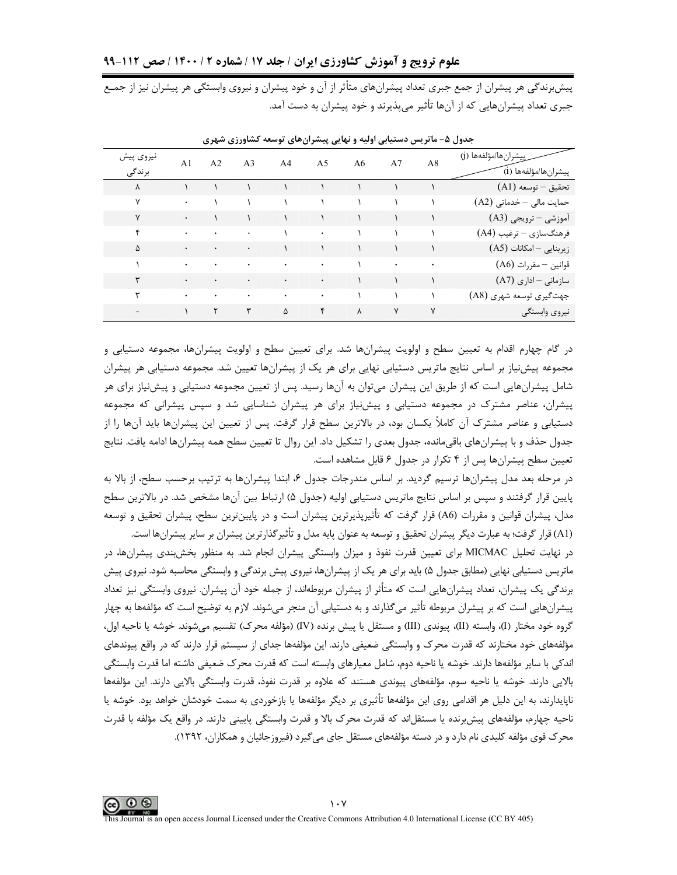پیشبرندگی هر پیشران از جمع جبری تعداد پیشرانهای متأثر از آن و خود پیشران و نیروی وابستگی هر پیشران نیز از جمـع جبری تعداد پیشرانهایی که از آنها تأثیر میپذیرند و خود پیشران به دست آمد.

| نيروى پيش<br>برندگی | A1            | A <sub>2</sub>           | A <sub>3</sub> | AA                                                                                         | A <sub>5</sub>                              | A6                              | A7                                                           | A8           | ٍپیشرانِها/مؤلفهها (i)   |
|---------------------|---------------|--------------------------|----------------|--------------------------------------------------------------------------------------------|---------------------------------------------|---------------------------------|--------------------------------------------------------------|--------------|--------------------------|
| γ                   |               |                          |                |                                                                                            |                                             |                                 |                                                              |              | $(A1)$ تحقيق – توسعه     |
| ٧                   | $\bullet$     |                          |                |                                                                                            |                                             |                                 |                                                              |              | حمایت مالی - خدماتی (A2) |
| ٧                   | $\bullet$     |                          | $\mathcal{N}$  |                                                                                            |                                             |                                 |                                                              |              | آموزشی – ترویجی (A3)     |
| ۴                   | $\bullet$     | $\rightarrow$            | $\bullet$      |                                                                                            |                                             |                                 |                                                              |              | فرهنگسازي – ترغيب (A4)   |
| Δ                   | $\bullet$     |                          | $\bullet$      |                                                                                            | $\begin{array}{ccc} & & & & \\ \end{array}$ |                                 |                                                              |              | زیربنایی - امکانات (A5)  |
|                     | $\bullet$     | $\bullet$                | $\bullet$      | $\mathcal{O}(\mathcal{A})$ and $\mathcal{O}(\mathcal{A})$ . The $\mathcal{O}(\mathcal{A})$ |                                             |                                 | $\mathcal{N}$ and $\mathcal{N}$ are the set of $\mathcal{N}$ |              | قوانين – مقررات (A6)     |
|                     | $\bullet$     | $\bullet$                | $\bullet$      | $\mathcal{L}(\mathbf{A})$ and $\mathcal{L}(\mathbf{A})$ and $\mathcal{L}(\mathbf{A})$      |                                             |                                 |                                                              |              | سازمانی - اداری (A7)     |
|                     | $\bullet$     | <b>Contract Contract</b> | $\bullet$      | $\sim 100$                                                                                 | $\sim 100$                                  | $\mathcal{N}$ and $\mathcal{N}$ |                                                              |              | جهت گیری توسعه شهری (A8) |
| $-$                 | $\mathcal{L}$ | $\mathsf{r}$             | ٣              | $\Delta$                                                                                   | $\uparrow$                                  | $\lambda$                       | $\mathsf{Y}$                                                 | $\mathsf{v}$ | نيروى وابستگى            |

جدول ۵- ماتریس دستیابی اولیه و نهایی پیشرانهای توسعه کشاورزی شهری

در گام چهارم اقدام به تعیین سطح و اولویت پیشرانها شد. برای تعیین سطح و اولویت پیشرانها، مجموعه دستیابی و مجموعه پیش نیاز بر اساس نتایج ماتریس دستیابی نهایی برای هر یک از پیشرانها تعیین شد. مجموعه دستیابی هر پیشران شامل پیشرانهایی است که از طریق این پیشران میتوان به آنها رسید. پس از تعیین مجموعه دستیابی و پیشنیاز برای هر پیشران، عناصر مشترک در مجموعه دستیابی و پیشiیاز برای هر پیشران شناسایی شد و سپس پیشرانی که مجموعه دستیابی و عناصر مشترک آن کاملاً یکسان بود، در بالاترین سطح قرار گرفت. پس از تعیین این پیشرانها باید آنها را از جدول حذف و با پیشرانهای باقیمانده، جدول بعدی را تشکیل داد. این روال تا تعیین سطح همه پیشرانها ادامه یافت. نتایج تعیین سطح پیشرانها پس از ۴ تکرار در جدول ۶ قابل مشاهده است.

در مرحله بعد مدل پیشرانها ترسیم گردید. بر اساس مندرجات جدول ۶، ابتدا پیشرانها به ترتیب برحسب سطح، از بالا به پایین قرار گرفتند و سپس بر اساس نتایج ماتریس دستیابی اولیه (جدول ۵) ارتباط بین آنها مشخص شد. در بالاترین سطح مدل، پیشران قوانین و مقررات (A6) قرار گرفت که تأثیرپذیرترین پیشران است و در پایینترین سطح، پیشران تحقیق و توسعه (A1) قرار گرفت؛ به عبارت دیگر پیشران تحقیق و توسعه به عنوان پایه مدل و تأثیرگذارترین پیشران بر سایر پیشرانها است.

در نهایت تحلیل MICMAC برای تعیین قدرت نفوذ و میزان وابستگی پیشران انجام شد. به منظور بخشبندی پیشرانها، در ماتریس دستیابی نهایی (مطابق جدول ۵) باید برای هر یک از پیشرانها، نیروی پیش برندگی و وابستگی محاسبه شود. نیروی پیش برندگی یک پیشران، تعداد پیشرانهایی است که متأثر از پیشران مربوطهاند، از جمله خود آن پیشران. نیروی وابستگی نیز تعداد پیشرانهایی است که بر پیشران مربوطه تأثیر میگذارند و به دستیابی آن منجر میشوند. لازم به توضیح است که مؤلفهها به چهار گروه خود مختار (I)، وابسته (II)، يبوندي (III) و مستقل يا ييش برنده (IV) (مؤلفه محرك) تقسيم مي شوند. خوشه يا ناحيه اول، مؤلفههای خود مختارند که قدرت محرک و وابستگی ضعیفی دارند. این مؤلفهها جدای از سیستم قرار دارند که در واقع پیوندهای اندكي با ساير مؤلفهها دارند. خوشه يا ناحيه دوم، شامل معيارهاي وابسته است كه قدرت محرك ضعيفي داشته اما قدرت وابستگي بالایی دارند. خوشه یا ناحیه سوم، مؤلفههای پیوندی هستند که علاوه بر قدرت نفوذ، قدرت وابستگی بالایی دارند. این مؤلفهها ناپایدارند، به این دلیل هر اقدامی روی این مؤلفهها تأثیری بر دیگر مؤلفهها یا بازخوردی به سمت خودشان خواهد بود. خوشه یا ناحیه چهارم، مؤلفههای پیش برنده یا مستقل!ند که قدرت محرک بالا و قدرت وابستگی پایینی دارند. در واقع یک مؤلفه با قدرت محرک قوی مؤلفه کلیدی نام دارد و در دسته مؤلفههای مستقل جای می گیرد (فیروزجائیان و همکاران، ۱۳۹۲).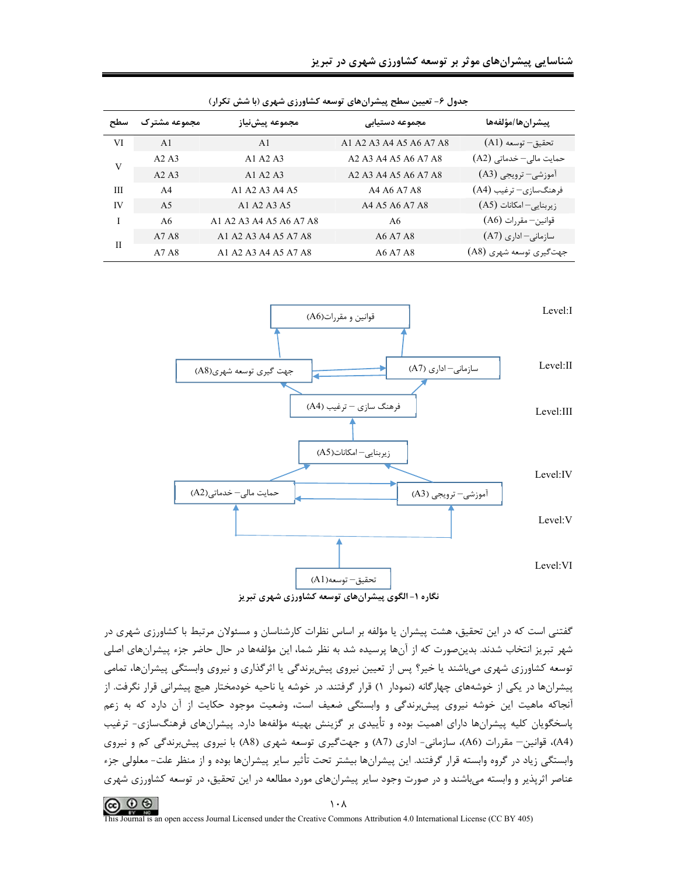|  |  | شناسایی پیشرانهای موثر بر توسعه کشاورزی شهری در تبریز |  |  |  |
|--|--|-------------------------------------------------------|--|--|--|
|  |  |                                                       |  |  |  |

| بحون / هیپن شکل پیشر زن های توسعه مسورری شهری /با شش میزار/ |                |                         |                                                                                                          |                                      |  |  |  |  |  |
|-------------------------------------------------------------|----------------|-------------------------|----------------------------------------------------------------------------------------------------------|--------------------------------------|--|--|--|--|--|
| سطح                                                         | مجموعه مشترك   | مجموعه ييش نياز         | مجموعه دستيابى                                                                                           | ييشران ها/مؤلفهها                    |  |  |  |  |  |
| VI                                                          | A <sub>1</sub> | A <sub>1</sub>          | A1 A2 A3 A4 A5 A6 A7 A8                                                                                  | تحقيق– توسعه (A1)                    |  |  |  |  |  |
|                                                             | A2A3           | A1 A2 A3                | A <sub>2</sub> A <sub>3</sub> A <sub>4</sub> A <sub>5</sub> A <sub>6</sub> A <sub>7</sub> A <sub>8</sub> | حمایت مالی- خدماتی (A2)              |  |  |  |  |  |
| V                                                           | A2A3           | A1 A2 A3                | A <sub>2</sub> A <sub>3</sub> A <sub>4</sub> A <sub>5</sub> A <sub>6</sub> A <sub>7</sub> A <sub>8</sub> | آموزشي– ترويجي (A3)                  |  |  |  |  |  |
| Ш                                                           | A <sub>4</sub> | A1 A2 A3 A4 A5          | A4 A6 A7 A8                                                                                              | فرهنگسازی– ترغیب (A4)                |  |  |  |  |  |
| IV                                                          | A <sub>5</sub> | A1 A2 A3 A5             | A4 A5 A6 A7 A8                                                                                           | $(A5)$ زیربنایی-امکانات              |  |  |  |  |  |
|                                                             | A6             | A1 A2 A3 A4 A5 A6 A7 A8 | A6                                                                                                       | $(A6)$ قوانين— مقررات                |  |  |  |  |  |
|                                                             | A7 A8          | A1 A2 A3 A4 A5 A7 A8    | A6 A7 A8                                                                                                 | $(A7)$ سازمانی-اداری                 |  |  |  |  |  |
| $\mathbf{I}$                                                | A7 A8          | A1 A2 A3 A4 A5 A7 A8    | A6 A7 A8                                                                                                 | جهت <sup>گ</sup> یری توسعه شهری (A8) |  |  |  |  |  |

حدول ۶- تعیین سطح بیشیان های توسعه کشاورزی شهری (با شش تکرار)



گفتنی است که در این تحقیق، هشت پیشران یا مؤلفه بر اساس نظرات کارشناسان و مسئولان مرتبط با کشاورزی شهری در شهر تبریز انتخاب شدند. بدینصورت که از آنها پرسیده شد به نظر شما، این مؤلفهها در حال حاضر جزء پیشرانهای اصلی توسعه کشاورزی شهری میباشند یا خیر؟ پس از تعیین نیروی پیشبرندگی یا اثرگذاری و نیروی وابستگی پیشرانها، تمامی پیشرانها در یکی از خوشههای چهارگانه (نمودار ۱) قرار گرفتند. در خوشه یا ناحیه خودمختار هیچ پیشرانی قرار نگرفت. از آنجاکه ماهیت این خوشه نیروی پیشبرندگی و وابستگی ضعیف است، وضعیت موجود حکایت از آن دارد که به زعم پاسخگویان کلیه پیشرانها دارای اهمیت بوده و تأییدی بر گزینش بهینه مؤلفهها دارد. پیشرانهای فرهنگسازی- ترغیب (A4)، قوانین– مقررات (A6)، سازمانی- اداری (A7) و جهت گیری توسعه شهری (A8) با نیروی پیش برندگی کم و نیروی وابستگی زیاد در گروه وابسته قرار گرفتند. این پیشرانها بیشتر تحت تأثیر سایر پیشرانها بوده و از منظر علت- معلولی جزء عناصر اثرپذیر و وابسته میباشند و در صورت وجود سایر پیشرانهای مورد مطالعه در این تحقیق، در توسعه کشاورزی شهری

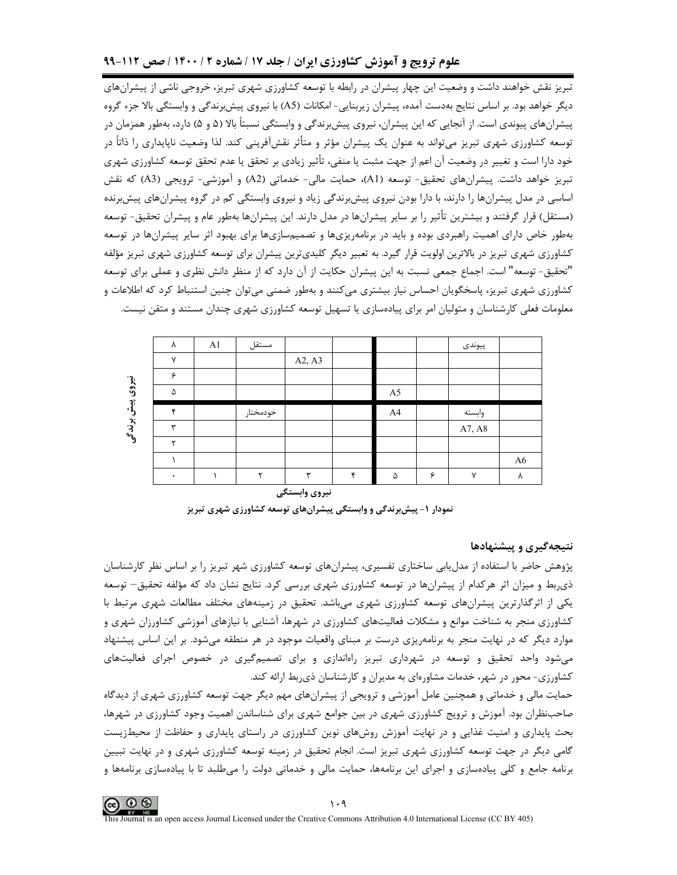# علوم ترویج و آموزش کشاورزی ایران / جلد ۱۷ / شماره ۲ / ۱۴۰۰ / صص ۱۱۲-۹۹

تبریز نقش خواهند داشت و وضعیت این چهار پیشران در رابطه با توسعه کشاورزی شهری تبریز، خروجی ناشی از پیشرانهای دیگر خواهد بود. بر اساس نتایج بهدست آمده، پیشران زیربنایی- امکانات (A5) با نیروی پیشبرندگی و وابستگی بالا جزء گروه ییشرانهای پیوندی است. از آنجایی که این پیشران، نیروی پیش رندگی و وابستگی نسبتاً بالا (۵ و ۵) دارد، بهطور همزمان در توسعه کشاورزی شهری تبریز میتواند به عنوان یک پیشران مؤثر و متأثر نقشآفرینی کند. لذا وضعیت ناپایداری را ذاتاً در خود دارا است و تغییر در وضعیت آن اعم از جهت مثبت یا منفی، تأثیر زیادی بر تحقق یا عدم تحقق توسعه کشاورزی شهری تبریز خواهد داشت. پیشرانهای تحقیق- توسعه (A1)، حمایت مالی- خدماتی (A2) و آموزشی- ترویجی (A3) که نقش اساسی در مدل پیشرانها را دارند، با دارا بودن نیروی پیشبرندگی زیاد و نیروی وابستگی کم در گروه پیشرانهای پیشبرنده (مستقل) قرار گرفتند و بیشترین تأثیر را بر سایر پیشرانها در مدل دارند. این پیشرانها بهطور عام و پیشران تحقیق- توسعه بهطور خاص دارای اهمیت راهبردی بوده و باید در برنامهریزیها و تصمیمسازیها برای بهبود اثر سایر پیشرانها در توسعه کشاورزی شهری تبریز در بالاترین اولویت قرار گیرد. به تعبیر دیگر کلیدیترین پیشران برای توسعه کشاورزی شهری تبریز مؤلفه "تحقيق- توسعه" است. اجماع جمعي نسبت به اين پيشران حكايت از آن دارد كه از منظر دانش نظري و عملي براي توسعه کشاورزی شهری تبریز، پاسخگویان احساس نیاز بیشتری می کنند و بهطور ضمنی می توان چنین استنباط کرد که اطلاعات و معلومات فعلی کارشناسان و متولیان امر برای پیادهسازی یا تسهیل توسعه کشاورزی شهری چندان مستند و متقن نیست.

|        | ٨            | A1 | مستقل    |                          |   |                |   | پيوندى       |                |
|--------|--------------|----|----------|--------------------------|---|----------------|---|--------------|----------------|
|        | $\checkmark$ |    |          | A2, A3                   |   |                |   |              |                |
|        | ç            |    |          |                          |   |                |   |              |                |
| نيروى  | ۵            |    |          |                          |   | A <sub>5</sub> |   |              |                |
| ؙڗۣ۫ڋ؞ | ۴            |    | خودمختار |                          |   | A <sup>4</sup> |   | وابسته       |                |
| بوندگی | ₩            |    |          |                          |   |                |   | A7, A8       |                |
|        | ٮ            |    |          |                          |   |                |   |              |                |
|        |              |    |          |                          |   |                |   |              | A <sub>6</sub> |
|        | ٠            |    |          | $\overline{\phantom{a}}$ | € | ۵              | ۶ | $\checkmark$ | ٨              |

نیروی وابستگی نمودار ۱- پیشبرندگی و وابستگی پیشرانهای توسعه کشاورزی شهری تبریز

### نتیجهگیری و پیشنهادها

پژوهش حاضر با استفاده از مدل یابی ساختاری تفسیری، پیشرانهای توسعه کشاورزی شهر تبریز را بر اساس نظر کارشناسان ذی,ربط و میزان اثر هرکدام از پیشرانها در توسعه کشاورزی شهری بررسی کرد. نتایج نشان داد که مؤلفه تحقیق– توسعه یکی از اثرگذارترین پیشرانهای توسعه کشاورزی شهری می!شد. تحقیق در زمینههای مختلف مطالعات شهری مرتبط با کشاورزی منجر به شناخت موانع و مشکلات فعالیتهای کشاورزی در شهرها، آشنایی با نیازهای آموزشی کشاورزان شهری و موارد دیگر که در نهایت منجر به برنامهریزی درست بر مبنای واقعیات موجود در هر منطقه میشود. بر این اساس پیشنهاد می شود واحد تحقیق و توسعه در شهرداری تبریز راهاندازی و برای تصمیم گیری در خصوص اجرای فعالیتهای کشاورزی- محور در شهر، خدمات مشاورهای به مدیران و کارشناسان ذی بط ارائه کند.

حمایت مالی و خدماتی و همچنین عامل آموزشی و ترویجی از پیشرانهای مهم دیگر جهت توسعه کشاورزی شهری از دیدگاه صاحبنظران بود. آموزش و ترویج کشاورزی شهری در بین جوامع شهری برای شناساندن اهمیت وجود کشاورزی در شهرها، بحث پایداری و امنیت غذایی و در نهایت آموزش روشهای نوین کشاورزی در راستای پایداری و حفاظت از محیطزیست گامی دیگر در جهت توسعه کشاورزی شهری تبریز است. انجام تحقیق در زمینه توسعه کشاورزی شهری و در نهایت تبیین برنامه جامع و کلی پیادهسازی و اجرای این برنامهها، حمایت مالی و خدماتی دولت را میطلبد تا با پیادهسازی برنامهها و

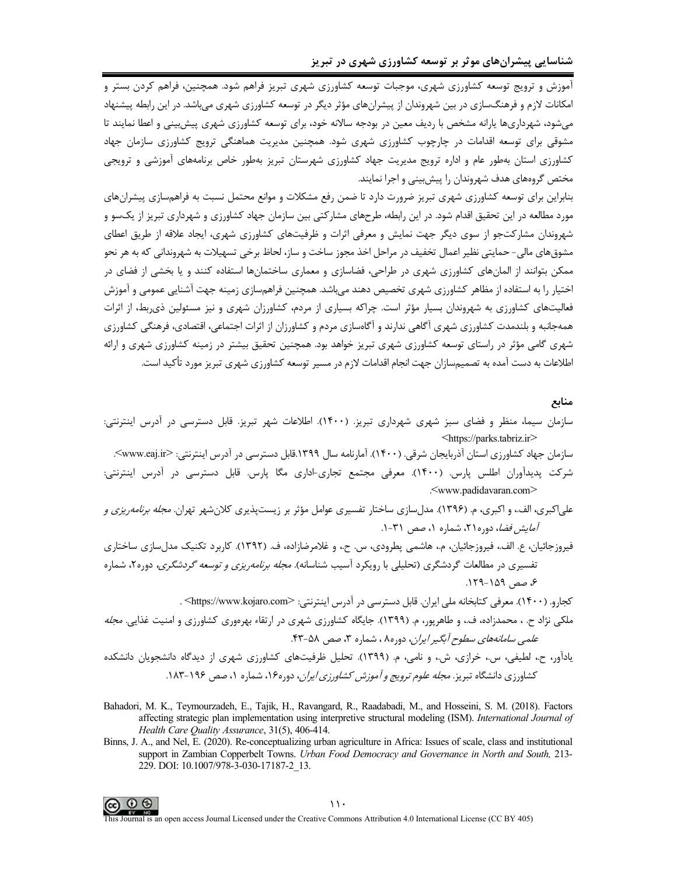آموزش و ترویج توسعه کشاورزی شهری، موجبات توسعه کشاورزی شهری تبریز فراهم شود. همچنین، فراهم کردن بستر و امکانات لازم و فرهنگسازی در بین شهروندان از پیشرانهای مؤثر دیگر در توسعه کشاورزی شهری میباشد. در این رابطه پیشنهاد میشود، شهرداریها پارانه مشخص با ردیف معین در بودجه سالانه خود، برای توسعه کشاورزی شهری پیش بینی و اعطا نمایند تا مشوقی برای توسعه اقدامات در چارچوب کشاورزی شهری شود. همچنین مدیریت هماهنگی ترویج کشاورزی سازمان جهاد کشاورزی استان بهطور عام و اداره ترویج مدیریت جهاد کشاورزی شهرستان تبریز بهطور خاص برنامههای آموزشی و ترویجی مختص گروههای هدف شهروندان را پیشبینی و اجرا نمایند.

بنابراین برای توسعه کشاورزی شهری تبریز ضرورت دارد تا ضمن رفع مشکلات و موانع محتمل نسبت به فراهمسازی پیشرانهای مورد مطالعه در این تحقیق اقدام شود. در این رابطه، طرحهای مشارکتی بین سازمان جهاد کشاورزی و شهرداری تبریز از یکسو و شهروندان مشارکتجو از سوی دیگر جهت نمایش و معرفی اثرات و ظرفیتهای کشاورزی شهری، ایجاد علاقه از طریق اعطای مشوق،های مالی- حمایتی نظیر اعمال تخفیف در مراحل اخذ مجوز ساخت و ساز، لحاظ برخی تسهیلات به شهروندانی که به هر نحو ممکن بتوانند از المانهای کشاورزی شهری در طراحی، فضاسازی و معماری ساختمانها استفاده کنند و یا بخشی از فضای در اختیار را به استفاده از مظاهر کشاورزی شهری تخصیص دهند می،باشد. همچنین فراهمسازی زمینه جهت آشنایی عمومی و آموزش فعالیتهای کشاورزی به شهروندان بسیار مؤثر است. چراکه بسیاری از مردم، کشاورزان شهری و نیز مسئولین ذی بط، از اثرات همهجانبه و بلندمدت کشاورزی شهری آگاهی ندارند و آگاهسازی مردم و کشاورزان از اثرات اجتماعی، اقتصادی، فرهنگی کشاورزی شهری گامی مؤثر در راستای توسعه کشاورزی شهری تبریز خواهد بود. همچنین تحقیق بیشتر در زمینه کشاورزی شهری و ارائه اطلاعات به دست آمده به تصمیمسازان جهت انجام اقدامات لازم در مسیر توسعه کشاورزی شهری تبریز مورد تأکید است.

### منابع

- سازمان سیما، منظر و فضای سبز شهری شهرداری تبریز. (۱۴۰۰). اطلاعات شهر تبریز. قابل دسترسی در آدرس اینترنتی: <https://parks.tabriz.ir>
	- سازمان جهاد کشاورزی استان آذربایجان شرقی. (۱۴۰۰). آمارنامه سال ۱۳۹۹.قابل دسترسی در آدرس اینترنتی: <www.eaj.ir>.
- شرکت پدیدآوران اطلس پارس. (۱۴۰۰). معرفی مجتمع تجاری-اداری مگا پارس. قابل دسترسی در آدرس اینترنتی: <www.padidavaran.com>
- علي|کبري، الف.، و اکبري، م. (۱۳۹۶). مدل سازي ساختار تفسيري عوامل مؤثر بر زيست پذيري کلان شهر تهران. *مجله برنامه ريزي و آمایش فضا*، دوره۲۱، شماره ۱، صص ۳۱-۱.
- فیروزجائیان، ع. الف، فیروزجائیان، م.، هاشمی پطرودی، س. ح.، و غلامرضازاده، ف. (۱۳۹۲). کاربرد تکنیک مدلسازی ساختاری تفسیری در مطالعات گردشگری (تحلیلی با رویکرد آسیب شناسانه). *مجله برنامهریزی و توسعه گردشگری،* دوره۲، شماره ع، صص ١۵٩-١٢٩.

كجارو. (١۴٠٠). معرفي كتابخانه ملي ايران. قابل دسترسي در آدرس اينترنتي: <https://www.kojaro.com>. ملکی نژاد ح. ، محمدزاده، ف.، و طاهرپور، م. (۱۳۹۹). جایگاه کشاورزی شهری در ارتقاء بهرهوری کشاورزی و امنیت غذایی. *مجله* علمي سا*مانههاي سطوح آبگير ايران*، دوره۸ ، شماره ۳، صص ۵۸-۴۳.

- یادآور، ح.، لطیفی، س.، خرازی، ش.، و نامی، م. (۱۳۹۹). تحلیل ظرفیتهای کشاورزی شهری از دیدگاه دانشجویان دانشکده کشاورزی دانشگاه تیریز. *مجله علوم ترویج و آموزش کشاورزی ایران*، دوره۱۶، شماره ۱، صص ۱۹۶-۱۸۳.
- Bahadori, M. K., Teymourzadeh, E., Tajik, H., Ravangard, R., Raadabadi, M., and Hosseini, S. M. (2018). Factors affecting strategic plan implementation using interpretive structural modeling (ISM). International Journal of Health Care Quality Assurance, 31(5), 406-414.
- Binns, J. A., and Nel, E. (2020). Re-conceptualizing urban agriculture in Africa: Issues of scale, class and institutional support in Zambian Copperbelt Towns. Urban Food Democracy and Governance in North and South, 213-229. DOI: 10.1007/978-3-030-17187-2 13.

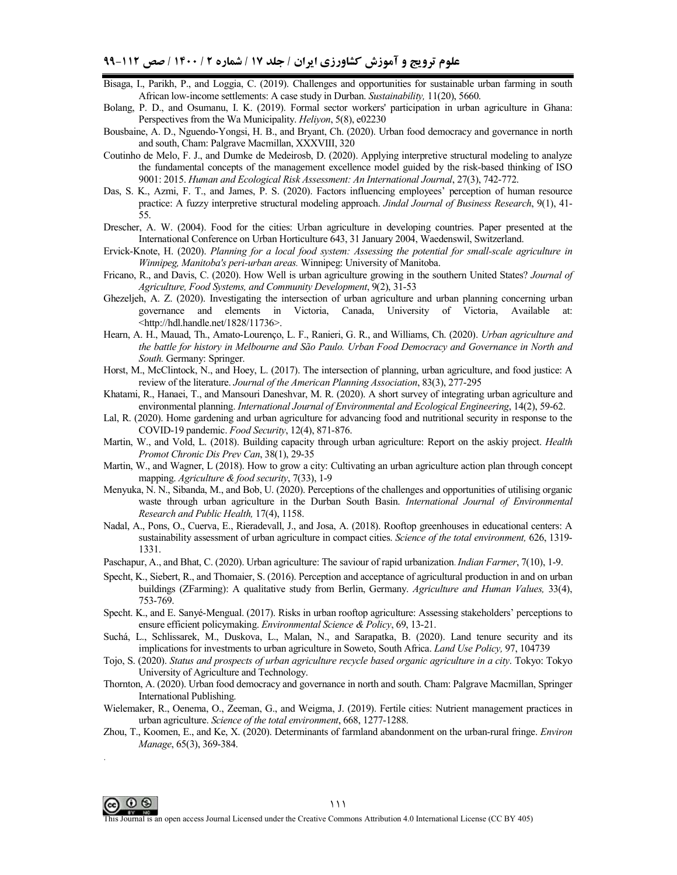- Bisaga, I., Parikh, P., and Loggia, C. (2019). Challenges and opportunities for sustainable urban farming in south African low-income settlements: A case study in Durban. *Sustainability,* 11(20), 5660.
- Bolang, P. D., and Osumanu, I. K. (2019). Formal sector workers' participation in urban agriculture in Ghana: Perspectives from the Wa Municipality. *Heliyon*, 5(8), e02230
- Bousbaine, A. D., Nguendo-Yongsi, H. B., and Bryant, Ch. (2020). Urban food democracy and governance in north and south, Cham: Palgrave Macmillan, XXXVIII, 320
- Coutinho de Melo, F. J., and Dumke de Medeirosb, D. (2020). Applying interpretive structural modeling to analyze the fundamental concepts of the management excellence model guided by the risk-based thinking of ISO 9001: 2015. *Human and Ecological Risk Assessment: An International Journal*, 27(3), 742-772.
- Das, S. K., Azmi, F. T., and James, P. S. (2020). Factors influencing employees' perception of human resource practice: A fuzzy interpretive structural modeling approach. *Jindal Journal of Business Research*, 9(1), 41- 55.
- Drescher, A. W. (2004). Food for the cities: Urban agriculture in developing countries. Paper presented at the International Conference on Urban Horticulture 643, 31 January 2004, Waedenswil, Switzerland.
- Ervick-Knote, H. (2020). *Planning for a local food system: Assessing the potential for small-scale agriculture in Winnipeg, Manitoba's peri-urban areas.* Winnipeg: University of Manitoba.
- Fricano, R., and Davis, C. (2020). How Well is urban agriculture growing in the southern United States? *Journal of Agriculture, Food Systems, and Community Development*, 9(2), 31-53
- Ghezeljeh, A. Z. (2020). Investigating the intersection of urban agriculture and urban planning concerning urban governance and elements in Victoria, Canada, University of Victoria, Available at: <http://hdl.handle.net/1828/11736>.
- Hearn, A. H., Mauad, Th., Amato-Lourenço, L. F., Ranieri, G. R., and Williams, Ch. (2020). *Urban agriculture and the battle for history in Melbourne and São Paulo. Urban Food Democracy and Governance in North and South.* Germany: Springer.
- Horst, M., McClintock, N., and Hoey, L. (2017). The intersection of planning, urban agriculture, and food justice: A review of the literature. *Journal of the American Planning Association*, 83(3), 277-295
- Khatami, R., Hanaei, T., and Mansouri Daneshvar, M. R. (2020). A short survey of integrating urban agriculture and environmental planning. *International Journal of Environmental and Ecological Engineering*, 14(2), 59-62.
- Lal, R. (2020). Home gardening and urban agriculture for advancing food and nutritional security in response to the COVID-19 pandemic. *Food Security*, 12(4), 871-876.
- Martin, W., and Vold, L. (2018). Building capacity through urban agriculture: Report on the askiy project. *Health Promot Chronic Dis Prev Can*, 38(1), 29-35
- Martin, W., and Wagner, L (2018). How to grow a city: Cultivating an urban agriculture action plan through concept mapping. *Agriculture & food security*, 7(33), 1-9
- Menyuka, N. N., Sibanda, M., and Bob, U. (2020). Perceptions of the challenges and opportunities of utilising organic waste through urban agriculture in the Durban South Basin. *International Journal of Environmental Research and Public Health,* 17(4), 1158.
- Nadal, A., Pons, O., Cuerva, E., Rieradevall, J., and Josa, A. (2018). Rooftop greenhouses in educational centers: A sustainability assessment of urban agriculture in compact cities. *Science of the total environment,* 626, 1319- 1331.
- Paschapur, A., and Bhat, C. (2020). Urban agriculture: The saviour of rapid urbanization. *Indian Farmer*, 7(10), 1-9.
- Specht, K., Siebert, R., and Thomaier, S. (2016). Perception and acceptance of agricultural production in and on urban buildings (ZFarming): A qualitative study from Berlin, Germany. *Agriculture and Human Values,* 33(4), 753-769.
- Specht. K., and E. Sanyé-Mengual. (2017). Risks in urban rooftop agriculture: Assessing stakeholders' perceptions to ensure efficient policymaking. *Environmental Science & Policy*, 69, 13-21.
- Suchá, L., Schlissarek, M., Duskova, L., Malan, N., and Sarapatka, B. (2020). Land tenure security and its implications for investments to urban agriculture in Soweto, South Africa. *Land Use Policy,* 97, 104739
- Tojo, S. (2020). *Status and prospects of urban agriculture recycle based organic agriculture in a city*. Tokyo: Tokyo University of Agriculture and Technology.
- Thornton, A. (2020). Urban food democracy and governance in north and south. Cham: Palgrave Macmillan, Springer International Publishing.
- Wielemaker, R., Oenema, O., Zeeman, G., and Weigma, J. (2019). Fertile cities: Nutrient management practices in urban agriculture. *Science of the total environment*, 668, 1277-1288.
- Zhou, T., Koomen, E., and Ke, X. (2020). Determinants of farmland abandonment on the urban-rural fringe. *Environ Manage*, 65(3), 369-384.



.